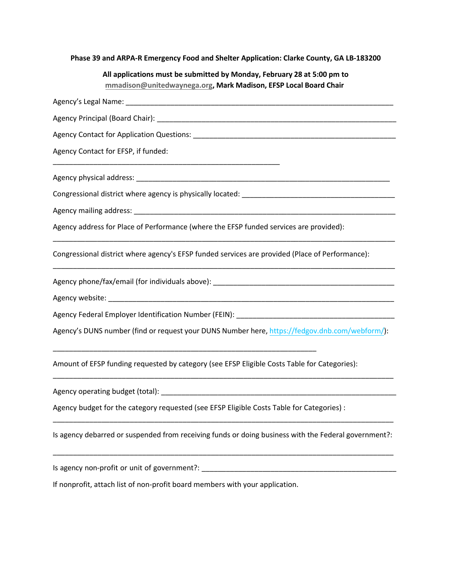**Phase 39 and ARPA-R Emergency Food and Shelter Application: Clarke County, GA LB-183200** 

| All applications must be submitted by Monday, February 28 at 5:00 pm to |  |
|-------------------------------------------------------------------------|--|
| mmadison@unitedwaynega.org, Mark Madison, EFSP Local Board Chair        |  |

| Agency Contact for EFSP, if funded:                                                                  |
|------------------------------------------------------------------------------------------------------|
|                                                                                                      |
|                                                                                                      |
|                                                                                                      |
| Agency address for Place of Performance (where the EFSP funded services are provided):               |
| Congressional district where agency's EFSP funded services are provided (Place of Performance):      |
|                                                                                                      |
|                                                                                                      |
|                                                                                                      |
| Agency's DUNS number (find or request your DUNS Number here, https://fedgov.dnb.com/webform/):       |
| Amount of EFSP funding requested by category (see EFSP Eligible Costs Table for Categories):         |
|                                                                                                      |
| Agency budget for the category requested (see EFSP Eligible Costs Table for Categories) :            |
| Is agency debarred or suspended from receiving funds or doing business with the Federal government?: |
|                                                                                                      |
| If nonprofit, attach list of non-profit board members with your application.                         |